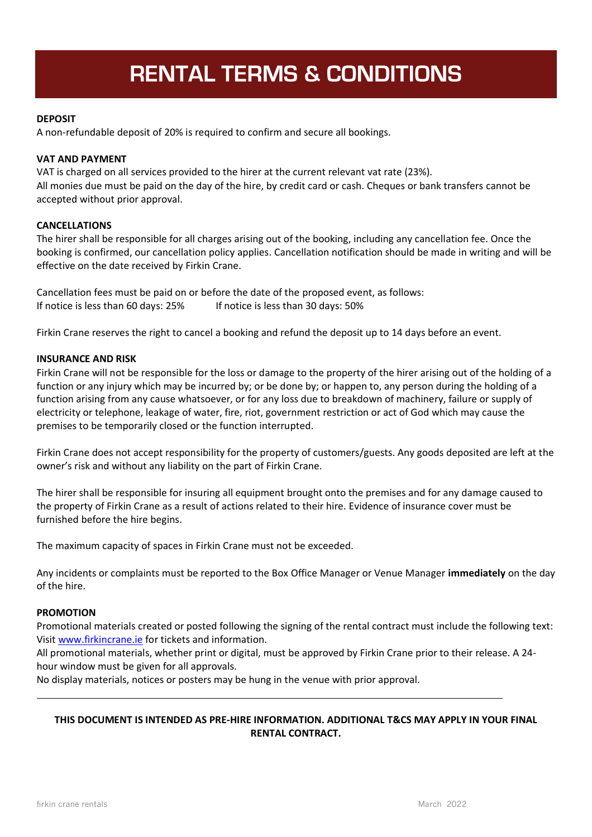# **RENTAL TERMS & CONDITIONS**

# **DEPOSIT**

A non-refundable deposit of 20% is required to confirm and secure all bookings.

# **VAT AND PAYMENT**

VAT is charged on all services provided to the hirer at the current relevant vat rate (23%). All monies due must be paid on the day of the hire, by credit card or cash. Cheques or bank transfers cannot be accepted without prior approval.

# **CANCELLATIONS**

The hirer shall be responsible for all charges arising out of the booking, including any cancellation fee. Once the booking is confirmed, our cancellation policy applies. Cancellation notification should be made in writing and will be effective on the date received by Firkin Crane.

Cancellation fees must be paid on or before the date of the proposed event, as follows: If notice is less than 60 days: 25% If notice is less than 30 days: 50%

Firkin Crane reserves the right to cancel a booking and refund the deposit up to 14 days before an event.

#### **INSURANCE AND RISK**

Firkin Crane will not be responsible for the loss or damage to the property of the hirer arising out of the holding of a function or any injury which may be incurred by; or be done by; or happen to, any person during the holding of a function arising from any cause whatsoever, or for any loss due to breakdown of machinery, failure or supply of electricity or telephone, leakage of water, fire, riot, government restriction or act of God which may cause the premises to be temporarily closed or the function interrupted.

Firkin Crane does not accept responsibility for the property of customers/guests. Any goods deposited are left at the owner's risk and without any liability on the part of Firkin Crane.

The hirer shall be responsible for insuring all equipment brought onto the premises and for any damage caused to the property of Firkin Crane as a result of actions related to their hire. Evidence of insurance cover must be furnished before the hire begins.

The maximum capacity of spaces in Firkin Crane must not be exceeded.

Any incidents or complaints must be reported to the Box Office Manager or Venue Manager **immediately** on the day of the hire.

#### **PROMOTION**

Promotional materials created or posted following the signing of the rental contract must include the following text: Visit [www.firkincrane.ie](http://www.firkincrane.ie/) for tickets and information.

All promotional materials, whether print or digital, must be approved by Firkin Crane prior to their release. A 24 hour window must be given for all approvals.

No display materials, notices or posters may be hung in the venue with prior approval.

# **THIS DOCUMENT IS INTENDED AS PRE-HIRE INFORMATION. ADDITIONAL T&CS MAY APPLY IN YOUR FINAL RENTAL CONTRACT.**